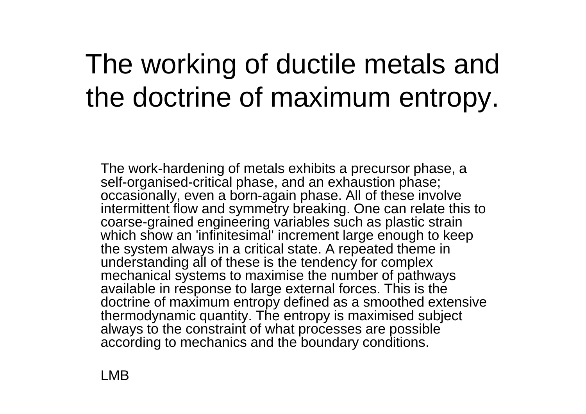## The working of ductile metals and the doctrine of maximum entropy.

The work-hardening of metals exhibits a precursor phase, a self-organised-critical phase, and an exhaustion phase; occasionally, even a born-again phase. All of these involve intermittent flow and symmetry breaking. One can relate this to coarse-grained engineering variables such as plastic strain which show an 'infinitesimal' increment large enough to keep the system always in a critical state. A repeated theme in understanding all of these is the tendency for complex mechanical systems to maximise the number of pathways available in response to large external forces. This is the doctrine of maximum entropy defined as a smoothed extensive thermodynamic quantity. The entropy is maximised subject always to the constraint of what processes are possible according to mechanics and the boundary conditions.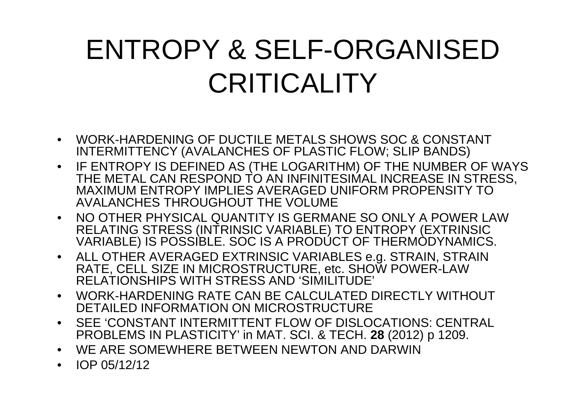## ENTROPY & SELF-ORGANISED **CRITICALITY**

- WORK-HARDENING OF DUCTILE METALS SHOWS SOC & CONSTANT INTERMITTENCY (AVALANCHES OF PLASTIC FLOW; SLIP BANDS)
- IF ENTROPY IS DEFINED AS (THE LOGARITHM) OF THE NUMBER OF WAYS THE METAL CAN RESPOND TO AN INFINITESIMAL INCREASE IN STRESS, MAXIMUM ENTROPY IMPLIES AVERAGED UNIFORM PROPENSITY TO AVALANCHES THROUGHOUT THE VOLUME
- NO OTHER PHYSICAL QUANTITY IS GERMANE SO ONLY A POWER LAW RELATING STRESS (INTRINSIC VARIABLE) TO ENTROPY (EXTRINSIC VARIABLE) IS POSSIBLE. SOC IS A PRODÚCT OF THERMODYNAMICS.
- ALL OTHER AVERAGED EXTRINSIC VARIABLES e.g. STRAIN, STRAIN RATE, CELL SIZE IN MICROSTRUCTURE, etc. SHOW POWER-LAW RELATIONSHIPS WITH STRESS AND 'SIMILITUDE'
- WORK-HARDENING RATE CAN BE CALCULATED DIRECTLY WITHOUT DETAILED INFORMATION ON MICROSTRUCTURE
- SEE 'CONSTANT INTERMITTENT FLOW OF DISLOCATIONS: CENTRAL PROBLEMS IN PLASTICITY' in MAT. SCI. & TECH. **28** (2012) p 1209.
- WE ARE SOMEWHERE BETWEEN NEWTON AND DARWIN
- IOP 05/12/12